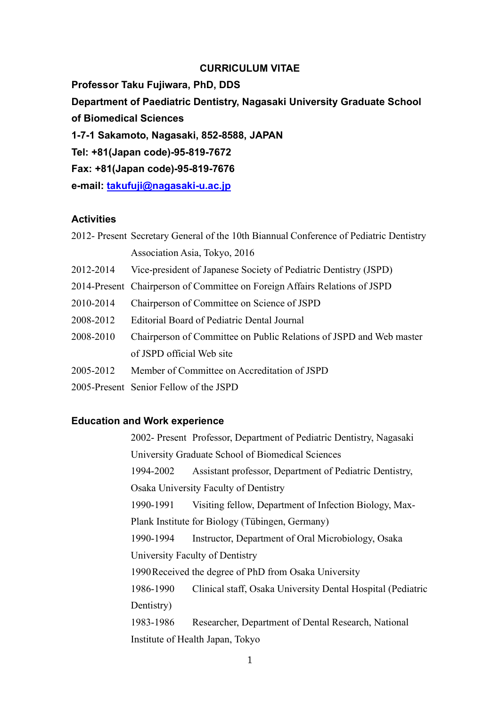#### CURRICULUM VITAE

Professor Taku Fujiwara, PhD, DDS Department of Paediatric Dentistry, Nagasaki University Graduate School of Biomedical Sciences 1-7-1 Sakamoto, Nagasaki, 852-8588, JAPAN Tel: +81(Japan code)-95-819-7672 Fax: +81(Japan code)-95-819-7676 e-mail: takufuji@nagasaki-u.ac.jp

#### **Activities**

| -----------                                                                            |                               |  |  |  |  |  |  |  |  |  |  |  |  |
|----------------------------------------------------------------------------------------|-------------------------------|--|--|--|--|--|--|--|--|--|--|--|--|
|                                                                                        | Association Asia, Tokyo, 2016 |  |  |  |  |  |  |  |  |  |  |  |  |
| 2012- Present Secretary General of the 10th Biannual Conference of Pediatric Dentistry |                               |  |  |  |  |  |  |  |  |  |  |  |  |

- 2012-2014 Vice-president of Japanese Society of Pediatric Dentistry (JSPD)
- 2014-Present Chairperson of Committee on Foreign Affairs Relations of JSPD
- 2010-2014 Chairperson of Committee on Science of JSPD
- 2008-2012 Editorial Board of Pediatric Dental Journal
- 2008-2010 Chairperson of Committee on Public Relations of JSPD and Web master of JSPD official Web site
- 2005-2012 Member of Committee on Accreditation of JSPD
- 2005-Present Senior Fellow of the JSPD

#### Education and Work experience

2002- Present Professor, Department of Pediatric Dentistry, Nagasaki University Graduate School of Biomedical Sciences 1994-2002 Assistant professor, Department of Pediatric Dentistry, Osaka University Faculty of Dentistry 1990-1991 Visiting fellow, Department of Infection Biology, Max-Plank Institute for Biology (Tübingen, Germany) 1990-1994 Instructor, Department of Oral Microbiology, Osaka University Faculty of Dentistry 1990 Received the degree of PhD from Osaka University 1986-1990 Clinical staff, Osaka University Dental Hospital (Pediatric Dentistry) 1983-1986 Researcher, Department of Dental Research, National Institute of Health Japan, Tokyo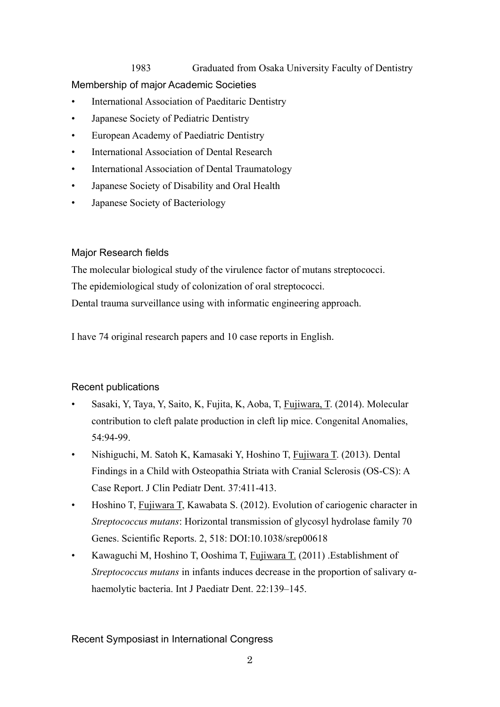1983 Graduated from Osaka University Faculty of Dentistry Membership of major Academic Societies

- International Association of Paeditaric Dentistry
- Japanese Society of Pediatric Dentistry
- European Academy of Paediatric Dentistry
- International Association of Dental Research
- International Association of Dental Traumatology
- Japanese Society of Disability and Oral Health
- Japanese Society of Bacteriology

# Major Research fields

The molecular biological study of the virulence factor of mutans streptococci. The epidemiological study of colonization of oral streptococci. Dental trauma surveillance using with informatic engineering approach.

I have 74 original research papers and 10 case reports in English.

# Recent publications

- Sasaki, Y, Taya, Y, Saito, K, Fujita, K, Aoba, T, Fujiwara, T. (2014). Molecular contribution to cleft palate production in cleft lip mice. Congenital Anomalies, 54:94-99.
- Nishiguchi, M. Satoh K, Kamasaki Y, Hoshino T, Fujiwara T. (2013). Dental Findings in a Child with Osteopathia Striata with Cranial Sclerosis (OS-CS): A Case Report. J Clin Pediatr Dent. 37:411-413.
- Hoshino T, Fujiwara T, Kawabata S. (2012). Evolution of cariogenic character in Streptococcus mutans: Horizontal transmission of glycosyl hydrolase family 70 Genes. Scientific Reports. 2, 518: DOI:10.1038/srep00618
- Kawaguchi M, Hoshino T, Ooshima T, Fujiwara T. (2011) .Establishment of Streptococcus mutans in infants induces decrease in the proportion of salivary αhaemolytic bacteria. Int J Paediatr Dent. 22:139–145.

# Recent Symposiast in International Congress